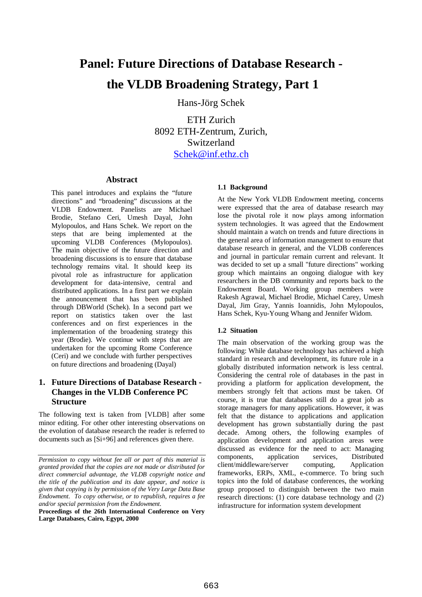# **Panel: Future Directions of Database Research the VLDB Broadening Strategy, Part 1**

Hans-Jörg Schek

ETH Zurich 8092 ETH-Zentrum, Zurich, Switzerland Schek@inf.ethz.ch

### **Abstract**

This panel introduces and explains the "future directions" and "broadening" discussions at the VLDB Endowment. Panelists are Michael Brodie, Stefano Ceri, Umesh Dayal, John Mylopoulos, and Hans Schek. We report on the steps that are being implemented at the upcoming VLDB Conferences (Mylopoulos). The main objective of the future direction and broadening discussions is to ensure that database technology remains vital. It should keep its pivotal role as infrastructure for application development for data-intensive, central and distributed applications. In a first part we explain the announcement that has been published through DBWorld (Schek). In a second part we report on statistics taken over the last conferences and on first experiences in the implementation of the broadening strategy this year (Brodie). We continue with steps that are undertaken for the upcoming Rome Conference (Ceri) and we conclude with further perspectives on future directions and broadening (Dayal)

## **1. Future Directions of Database Research - Changes in the VLDB Conference PC Structure**

The following text is taken from [VLDB] after some minor editing. For other other interesting observations on the evolution of database research the reader is referred to documents such as [Si+96] and references given there.

#### **1.1 Background**

At the New York VLDB Endowment meeting, concerns were expressed that the area of database research may lose the pivotal role it now plays among information system technologies. It was agreed that the Endowment should maintain a watch on trends and future directions in the general area of information management to ensure that database research in general, and the VLDB conferences and journal in particular remain current and relevant. It was decided to set up a small "future directions" working group which maintains an ongoing dialogue with key researchers in the DB community and reports back to the Endowment Board. Working group members were Rakesh Agrawal, Michael Brodie, Michael Carey, Umesh Dayal, Jim Gray, Yannis Ioannidis, John Mylopoulos, Hans Schek, Kyu-Young Whang and Jennifer Widom.

#### **1.2 Situation**

The main observation of the working group was the following: While database technology has achieved a high standard in research and development, its future role in a globally distributed information network is less central. Considering the central role of databases in the past in providing a platform for application development, the members strongly felt that actions must be taken. Of course, it is true that databases still do a great job as storage managers for many applications. However, it was felt that the distance to applications and application development has grown substantially during the past decade. Among others, the following examples of application development and application areas were discussed as evidence for the need to act: Managing components, application services, Distributed client/middleware/server computing, Application frameworks, ERPs, XML, e-commerce. To bring such topics into the fold of database conferences, the working group proposed to distinguish between the two main research directions: (1) core database technology and (2) infrastructure for information system development

*Permission to copy without fee all or part of this material is granted provided that the copies are not made or distributed for direct commercial advantage, the VLDB copyright notice and the title of the publication and its date appear, and notice is given that copying is by permission of the Very Large Data Base Endowment. To copy otherwise, or to republish, requires a fee and/or special permission from the Endowment.*

**Proceedings of the 26th International Conference on Very Large Databases, Cairo, Egypt, 2000**